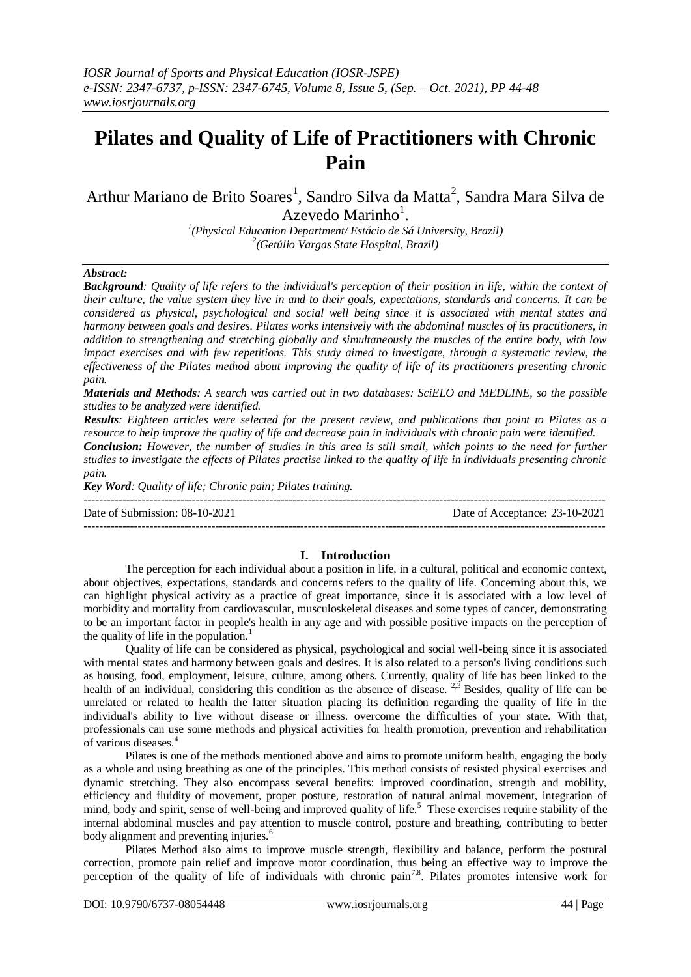# **Pilates and Quality of Life of Practitioners with Chronic Pain**

Arthur Mariano de Brito Soares<sup>1</sup>, Sandro Silva da Matta<sup>2</sup>, Sandra Mara Silva de Azevedo Marinho<sup>1</sup>.

*1 (Physical Education Department/ Estácio de Sá University, Brazil) 2 (Getúlio Vargas State Hospital, Brazil)* 

## *Abstract:*

*Background: Quality of life refers to the individual's perception of their position in life, within the context of their culture, the value system they live in and to their goals, expectations, standards and concerns. It can be considered as physical, psychological and social well being since it is associated with mental states and harmony between goals and desires. Pilates works intensively with the abdominal muscles of its practitioners, in addition to strengthening and stretching globally and simultaneously the muscles of the entire body, with low impact exercises and with few repetitions. This study aimed to investigate, through a systematic review, the effectiveness of the Pilates method about improving the quality of life of its practitioners presenting chronic pain.*

*Materials and Methods: A search was carried out in two databases: SciELO and MEDLINE, so the possible studies to be analyzed were identified.* 

*Results: Eighteen articles were selected for the present review, and publications that point to Pilates as a resource to help improve the quality of life and decrease pain in individuals with chronic pain were identified.* 

*Conclusion: However, the number of studies in this area is still small, which points to the need for further studies to investigate the effects of Pilates practise linked to the quality of life in individuals presenting chronic pain.*

---------------------------------------------------------------------------------------------------------------------------------------

*Key Word: Quality of life; Chronic pain; Pilates training.*

---------------------------------------------------------------------------------------------------------------------------------------

Date of Submission: 08-10-2021 Date of Acceptance: 23-10-2021

**I. Introduction**

The perception for each individual about a position in life, in a cultural, political and economic context, about objectives, expectations, standards and concerns refers to the quality of life. Concerning about this, we can highlight physical activity as a practice of great importance, since it is associated with a low level of morbidity and mortality from cardiovascular, musculoskeletal diseases and some types of cancer, demonstrating to be an important factor in people's health in any age and with possible positive impacts on the perception of the quality of life in the population.<sup>1</sup>

Quality of life can be considered as physical, psychological and social well-being since it is associated with mental states and harmony between goals and desires. It is also related to a person's living conditions such as housing, food, employment, leisure, culture, among others. Currently, quality of life has been linked to the health of an individual, considering this condition as the absence of disease.  $2.3$  Besides, quality of life can be unrelated or related to health the latter situation placing its definition regarding the quality of life in the individual's ability to live without disease or illness. overcome the difficulties of your state. With that, professionals can use some methods and physical activities for health promotion, prevention and rehabilitation of various diseases.<sup>4</sup>

Pilates is one of the methods mentioned above and aims to promote uniform health, engaging the body as a whole and using breathing as one of the principles. This method consists of resisted physical exercises and dynamic stretching. They also encompass several benefits: improved coordination, strength and mobility, efficiency and fluidity of movement, proper posture, restoration of natural animal movement, integration of mind, body and spirit, sense of well-being and improved quality of life.<sup>5</sup> These exercises require stability of the internal abdominal muscles and pay attention to muscle control, posture and breathing, contributing to better body alignment and preventing injuries.<sup>6</sup>

Pilates Method also aims to improve muscle strength, flexibility and balance, perform the postural correction, promote pain relief and improve motor coordination, thus being an effective way to improve the perception of the quality of life of individuals with chronic pain<sup>7,8</sup>. Pilates promotes intensive work for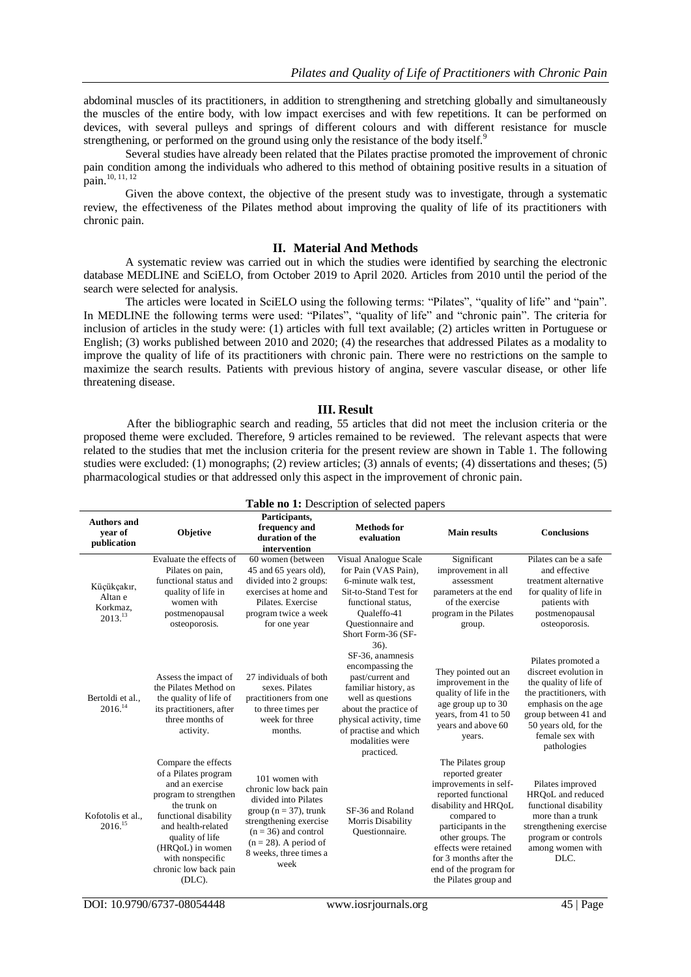abdominal muscles of its practitioners, in addition to strengthening and stretching globally and simultaneously the muscles of the entire body, with low impact exercises and with few repetitions. It can be performed on devices, with several pulleys and springs of different colours and with different resistance for muscle strengthening, or performed on the ground using only the resistance of the body itself.<sup>9</sup>

Several studies have already been related that the Pilates practise promoted the improvement of chronic pain condition among the individuals who adhered to this method of obtaining positive results in a situation of pain.<sup>10, 11, 12</sup>

Given the above context, the objective of the present study was to investigate, through a systematic review, the effectiveness of the Pilates method about improving the quality of life of its practitioners with chronic pain.

## **II. Material And Methods**

A systematic review was carried out in which the studies were identified by searching the electronic database MEDLINE and SciELO, from October 2019 to April 2020. Articles from 2010 until the period of the search were selected for analysis.

The articles were located in SciELO using the following terms: "Pilates", "quality of life" and "pain". In MEDLINE the following terms were used: "Pilates", "quality of life" and "chronic pain". The criteria for inclusion of articles in the study were: (1) articles with full text available; (2) articles written in Portuguese or English; (3) works published between 2010 and 2020; (4) the researches that addressed Pilates as a modality to improve the quality of life of its practitioners with chronic pain. There were no restrictions on the sample to maximize the search results. Patients with previous history of angina, severe vascular disease, or other life threatening disease.

#### **III. Result**

 After the bibliographic search and reading, 55 articles that did not meet the inclusion criteria or the proposed theme were excluded. Therefore, 9 articles remained to be reviewed. The relevant aspects that were related to the studies that met the inclusion criteria for the present review are shown in Table 1. The following studies were excluded: (1) monographs; (2) review articles; (3) annals of events; (4) dissertations and theses; (5) pharmacological studies or that addressed only this aspect in the improvement of chronic pain.

| <b>Table no 1:</b> Description of selected papers         |                                                                                                                                                                                                                                                         |                                                                                                                                                                                                                |                                                                                                                                                                                                                     |                                                                                                                                                                                                                                                                                |                                                                                                                                                                                                            |  |  |  |  |
|-----------------------------------------------------------|---------------------------------------------------------------------------------------------------------------------------------------------------------------------------------------------------------------------------------------------------------|----------------------------------------------------------------------------------------------------------------------------------------------------------------------------------------------------------------|---------------------------------------------------------------------------------------------------------------------------------------------------------------------------------------------------------------------|--------------------------------------------------------------------------------------------------------------------------------------------------------------------------------------------------------------------------------------------------------------------------------|------------------------------------------------------------------------------------------------------------------------------------------------------------------------------------------------------------|--|--|--|--|
| <b>Authors and</b><br>vear of<br>publication              | Objetive                                                                                                                                                                                                                                                | Participants,<br>frequency and<br>duration of the<br>intervention                                                                                                                                              | <b>Methods</b> for<br>evaluation                                                                                                                                                                                    | <b>Main results</b>                                                                                                                                                                                                                                                            | <b>Conclusions</b>                                                                                                                                                                                         |  |  |  |  |
| Küçükçakır,<br>Altan e<br>Korkmaz,<br>2013. <sup>13</sup> | Evaluate the effects of<br>Pilates on pain,<br>functional status and<br>quality of life in<br>women with<br>postmenopausal<br>osteoporosis.                                                                                                             | 60 women (between<br>45 and 65 years old),<br>divided into 2 groups:<br>exercises at home and<br>Pilates. Exercise<br>program twice a week<br>for one year                                                     | Visual Analogue Scale<br>for Pain (VAS Pain),<br>6-minute walk test.<br>Sit-to-Stand Test for<br>functional status,<br>Oualeffo-41<br>Questionnaire and<br>Short Form-36 (SF-<br>36).                               | Significant<br>improvement in all<br>assessment<br>parameters at the end<br>of the exercise<br>program in the Pilates<br>group.                                                                                                                                                | Pilates can be a safe<br>and effective<br>treatment alternative<br>for quality of life in<br>patients with<br>postmenopausal<br>osteoporosis.                                                              |  |  |  |  |
| Bertoldi et al<br>$2016^{14}$                             | Assess the impact of<br>the Pilates Method on<br>the quality of life of<br>its practitioners, after<br>three months of<br>activity.                                                                                                                     | 27 individuals of both<br>sexes. Pilates<br>practitioners from one<br>to three times per<br>week for three<br>months.                                                                                          | SF-36, anamnesis<br>encompassing the<br>past/current and<br>familiar history, as<br>well as questions<br>about the practice of<br>physical activity, time<br>of practise and which<br>modalities were<br>practiced. | They pointed out an<br>improvement in the<br>quality of life in the<br>age group up to 30<br>years, from 41 to 50<br>years and above 60<br>years.                                                                                                                              | Pilates promoted a<br>discreet evolution in<br>the quality of life of<br>the practitioners, with<br>emphasis on the age<br>group between 41 and<br>50 years old, for the<br>female sex with<br>pathologies |  |  |  |  |
| Kofotolis et al<br>2016. <sup>15</sup>                    | Compare the effects<br>of a Pilates program<br>and an exercise<br>program to strengthen<br>the trunk on<br>functional disability<br>and health-related<br>quality of life<br>(HRQoL) in women<br>with nonspecific<br>chronic low back pain<br>$(DLC)$ . | 101 women with<br>chronic low back pain<br>divided into Pilates<br>group ( $n = 37$ ), trunk<br>strengthening exercise<br>$(n = 36)$ and control<br>$(n = 28)$ . A period of<br>8 weeks, three times a<br>week | SF-36 and Roland<br>Morris Disability<br>Questionnaire.                                                                                                                                                             | The Pilates group<br>reported greater<br>improvements in self-<br>reported functional<br>disability and HROoL<br>compared to<br>participants in the<br>other groups. The<br>effects were retained<br>for 3 months after the<br>end of the program for<br>the Pilates group and | Pilates improved<br>HROoL and reduced<br>functional disability<br>more than a trunk<br>strengthening exercise<br>program or controls<br>among women with<br>DLC.                                           |  |  |  |  |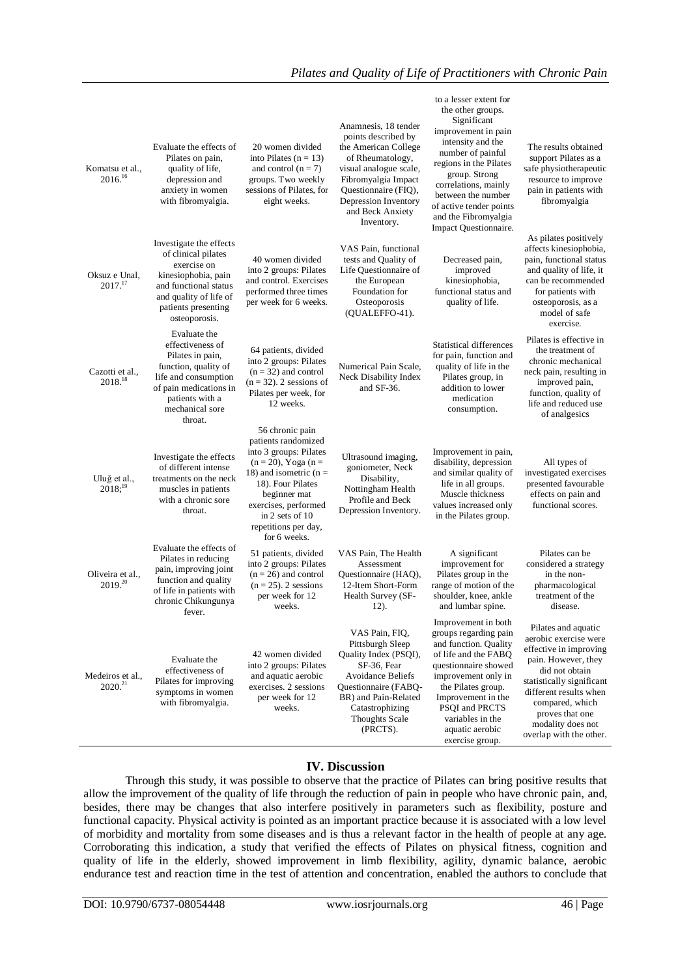to a lesser extent for

| Komatsu et al.,<br>$2016^{16}$          | Evaluate the effects of<br>Pilates on pain,<br>quality of life,<br>depression and<br>anxiety in women<br>with fibromyalgia.                                                     | 20 women divided<br>into Pilates ( $n = 13$ )<br>and control $(n = 7)$<br>groups. Two weekly<br>sessions of Pilates, for<br>eight weeks.                                                                                                          | Anamnesis, 18 tender<br>points described by<br>the American College<br>of Rheumatology,<br>visual analogue scale,<br>Fibromyalgia Impact<br>Questionnaire (FIQ),<br>Depression Inventory<br>and Beck Anxiety<br>Inventory. | the other groups.<br>Significant<br>improvement in pain<br>intensity and the<br>number of painful<br>regions in the Pilates<br>group. Strong<br>correlations, mainly<br>between the number<br>of active tender points<br>and the Fibromyalgia<br>Impact Questionnaire. | The results obtained<br>support Pilates as a<br>safe physiotherapeutic<br>resource to improve<br>pain in patients with<br>fibromyalgia                                                                                                                       |
|-----------------------------------------|---------------------------------------------------------------------------------------------------------------------------------------------------------------------------------|---------------------------------------------------------------------------------------------------------------------------------------------------------------------------------------------------------------------------------------------------|----------------------------------------------------------------------------------------------------------------------------------------------------------------------------------------------------------------------------|------------------------------------------------------------------------------------------------------------------------------------------------------------------------------------------------------------------------------------------------------------------------|--------------------------------------------------------------------------------------------------------------------------------------------------------------------------------------------------------------------------------------------------------------|
| Oksuz e Unal.<br>2017. <sup>17</sup>    | Investigate the effects<br>of clinical pilates<br>exercise on<br>kinesiophobia, pain<br>and functional status<br>and quality of life of<br>patients presenting<br>osteoporosis. | 40 women divided<br>into 2 groups: Pilates<br>and control. Exercises<br>performed three times<br>per week for 6 weeks.                                                                                                                            | VAS Pain, functional<br>tests and Quality of<br>Life Questionnaire of<br>the European<br>Foundation for<br>Osteoporosis<br>(QUALEFFO-41).                                                                                  | Decreased pain,<br>improved<br>kinesiophobia,<br>functional status and<br>quality of life.                                                                                                                                                                             | As pilates positively<br>affects kinesiophobia,<br>pain, functional status<br>and quality of life, it<br>can be recommended<br>for patients with<br>osteoporosis, as a<br>model of safe<br>exercise.                                                         |
| Cazotti et al.,<br>2018.18              | Evaluate the<br>effectiveness of<br>Pilates in pain,<br>function, quality of<br>life and consumption<br>of pain medications in<br>patients with a<br>mechanical sore<br>throat. | 64 patients, divided<br>into 2 groups: Pilates<br>$(n = 32)$ and control<br>$(n = 32)$ . 2 sessions of<br>Pilates per week, for<br>12 weeks.                                                                                                      | Numerical Pain Scale,<br>Neck Disability Index<br>and SF-36.                                                                                                                                                               | Statistical differences<br>for pain, function and<br>quality of life in the<br>Pilates group, in<br>addition to lower<br>medication<br>consumption.                                                                                                                    | Pilates is effective in<br>the treatment of<br>chronic mechanical<br>neck pain, resulting in<br>improved pain,<br>function, quality of<br>life and reduced use<br>of analgesics                                                                              |
| Uluğ et al.,<br>$2018;^{19}$            | Investigate the effects<br>of different intense<br>treatments on the neck<br>muscles in patients<br>with a chronic sore<br>throat.                                              | 56 chronic pain<br>patients randomized<br>into 3 groups: Pilates<br>$(n = 20)$ , Yoga $(n =$<br>18) and isometric ( $n =$<br>18). Four Pilates<br>beginner mat<br>exercises, performed<br>in 2 sets of 10<br>repetitions per day,<br>for 6 weeks. | Ultrasound imaging,<br>goniometer, Neck<br>Disability,<br>Nottingham Health<br>Profile and Beck<br>Depression Inventory.                                                                                                   | Improvement in pain,<br>disability, depression<br>and similar quality of<br>life in all groups.<br>Muscle thickness<br>values increased only<br>in the Pilates group.                                                                                                  | All types of<br>investigated exercises<br>presented favourable<br>effects on pain and<br>functional scores.                                                                                                                                                  |
| Oliveira et al.,<br>2019. <sup>20</sup> | Evaluate the effects of<br>Pilates in reducing<br>pain, improving joint<br>function and quality<br>of life in patients with<br>chronic Chikungunya<br>fever.                    | 51 patients, divided<br>into 2 groups: Pilates<br>$(n = 26)$ and control<br>$(n = 25)$ . 2 sessions<br>per week for 12<br>weeks.                                                                                                                  | VAS Pain, The Health<br>Assessment<br>Questionnaire (HAQ),<br>12-Item Short-Form<br>Health Survey (SF-<br>12).                                                                                                             | A significant<br>improvement for<br>Pilates group in the<br>range of motion of the<br>shoulder, knee, ankle<br>and lumbar spine.                                                                                                                                       | Pilates can be<br>considered a strategy<br>in the non-<br>pharmacological<br>treatment of the<br>disease.                                                                                                                                                    |
| Medeiros et al.,<br>$2020^{21}$         | Evaluate the<br>effectiveness of<br>Pilates for improving<br>symptoms in women<br>with fibromyalgia.                                                                            | 42 women divided<br>into 2 groups: Pilates<br>and aquatic aerobic<br>exercises. 2 sessions<br>per week for 12<br>weeks.                                                                                                                           | VAS Pain, FIQ,<br>Pittsburgh Sleep<br>Quality Index (PSQI),<br>SF-36, Fear<br><b>Avoidance Beliefs</b><br><b>Ouestionnaire (FABO-</b><br>BR) and Pain-Related<br>Catastrophizing<br><b>Thoughts Scale</b><br>(PRCTS).      | Improvement in both<br>groups regarding pain<br>and function. Quality<br>of life and the FABQ<br>questionnaire showed<br>improvement only in<br>the Pilates group.<br>Improvement in the<br>PSQI and PRCTS<br>variables in the<br>aquatic aerobic<br>exercise group.   | Pilates and aquatic<br>aerobic exercise were<br>effective in improving<br>pain. However, they<br>did not obtain<br>statistically significant<br>different results when<br>compared, which<br>proves that one<br>modality does not<br>overlap with the other. |

## **IV. Discussion**

Through this study, it was possible to observe that the practice of Pilates can bring positive results that allow the improvement of the quality of life through the reduction of pain in people who have chronic pain, and, besides, there may be changes that also interfere positively in parameters such as flexibility, posture and functional capacity. Physical activity is pointed as an important practice because it is associated with a low level of morbidity and mortality from some diseases and is thus a relevant factor in the health of people at any age. Corroborating this indication, a study that verified the effects of Pilates on physical fitness, cognition and quality of life in the elderly, showed improvement in limb flexibility, agility, dynamic balance, aerobic endurance test and reaction time in the test of attention and concentration, enabled the authors to conclude that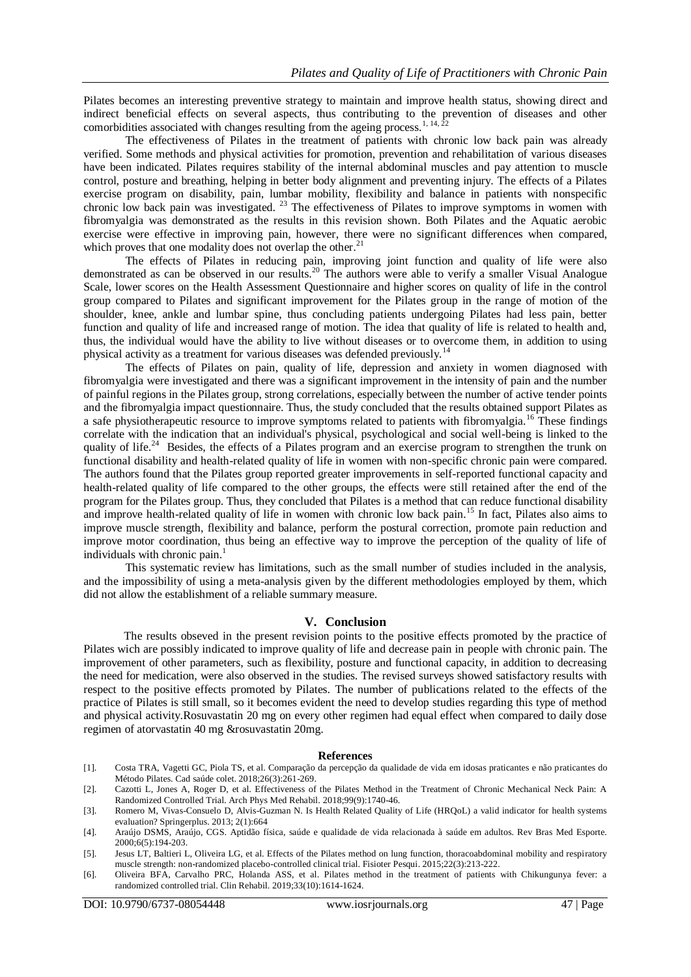Pilates becomes an interesting preventive strategy to maintain and improve health status, showing direct and indirect beneficial effects on several aspects, thus contributing to the prevention of diseases and other comorbidities associated with changes resulting from the ageing process.<sup>1, 14, 22</sup>

The effectiveness of Pilates in the treatment of patients with chronic low back pain was already verified. Some methods and physical activities for promotion, prevention and rehabilitation of various diseases have been indicated. Pilates requires stability of the internal abdominal muscles and pay attention to muscle control, posture and breathing, helping in better body alignment and preventing injury. The effects of a Pilates exercise program on disability, pain, lumbar mobility, flexibility and balance in patients with nonspecific chronic low back pain was investigated. <sup>23</sup> The effectiveness of Pilates to improve symptoms in women with fibromyalgia was demonstrated as the results in this revision shown. Both Pilates and the Aquatic aerobic exercise were effective in improving pain, however, there were no significant differences when compared, which proves that one modality does not overlap the other. $2<sup>1</sup>$ 

The effects of Pilates in reducing pain, improving joint function and quality of life were also demonstrated as can be observed in our results.<sup>20</sup> The authors were able to verify a smaller Visual Analogue Scale, lower scores on the Health Assessment Questionnaire and higher scores on quality of life in the control group compared to Pilates and significant improvement for the Pilates group in the range of motion of the shoulder, knee, ankle and lumbar spine, thus concluding patients undergoing Pilates had less pain, better function and quality of life and increased range of motion. The idea that quality of life is related to health and, thus, the individual would have the ability to live without diseases or to overcome them, in addition to using physical activity as a treatment for various diseases was defended previously.<sup>14</sup>

The effects of Pilates on pain, quality of life, depression and anxiety in women diagnosed with fibromyalgia were investigated and there was a significant improvement in the intensity of pain and the number of painful regions in the Pilates group, strong correlations, especially between the number of active tender points and the fibromyalgia impact questionnaire. Thus, the study concluded that the results obtained support Pilates as a safe physiotherapeutic resource to improve symptoms related to patients with fibromyalgia.<sup>16</sup> These findings correlate with the indication that an individual's physical, psychological and social well-being is linked to the quality of life.<sup>24</sup> Besides, the effects of a Pilates program and an exercise program to strengthen the trunk on functional disability and health-related quality of life in women with non-specific chronic pain were compared. The authors found that the Pilates group reported greater improvements in self-reported functional capacity and health-related quality of life compared to the other groups, the effects were still retained after the end of the program for the Pilates group. Thus, they concluded that Pilates is a method that can reduce functional disability and improve health-related quality of life in women with chronic low back pain.<sup>15</sup> In fact, Pilates also aims to improve muscle strength, flexibility and balance, perform the postural correction, promote pain reduction and improve motor coordination, thus being an effective way to improve the perception of the quality of life of individuals with chronic pain.<sup>1</sup>

This systematic review has limitations, such as the small number of studies included in the analysis, and the impossibility of using a meta-analysis given by the different methodologies employed by them, which did not allow the establishment of a reliable summary measure.

### **V. Conclusion**

 The results obseved in the present revision points to the positive effects promoted by the practice of Pilates wich are possibly indicated to improve quality of life and decrease pain in people with chronic pain. The improvement of other parameters, such as flexibility, posture and functional capacity, in addition to decreasing the need for medication, were also observed in the studies. The revised surveys showed satisfactory results with respect to the positive effects promoted by Pilates. The number of publications related to the effects of the practice of Pilates is still small, so it becomes evident the need to develop studies regarding this type of method and physical activity.Rosuvastatin 20 mg on every other regimen had equal effect when compared to daily dose regimen of atorvastatin 40 mg &rosuvastatin 20mg.

#### **References**

- [1]. Costa TRA, Vagetti GC, Piola TS, et al. Comparação da percepção da qualidade de vida em idosas praticantes e não praticantes do Método Pilates. Cad saúde colet. 2018;26(3):261-269.
- [2]. Cazotti L, Jones A, Roger D, et al. Effectiveness of the Pilates Method in the Treatment of Chronic Mechanical Neck Pain: A Randomized Controlled Trial. Arch Phys Med Rehabil. 2018;99(9):1740-46.
- [3]. Romero M, Vivas-Consuelo D, Alvis-Guzman N. Is Health Related Quality of Life (HRQoL) a valid indicator for health systems evaluation? Springerplus. 2013; 2(1):664
- [4]. Araújo DSMS, Araújo, CGS. Aptidão física, saúde e qualidade de vida relacionada à saúde em adultos. Rev Bras Med Esporte. 2000;6(5):194-203.
- [5]. Jesus LT, Baltieri L, Oliveira LG, et al. Effects of the Pilates method on lung function, thoracoabdominal mobility and respiratory muscle strength: non-randomized placebo-controlled clinical trial. Fisioter Pesqui. 2015;22(3):213-222.
- [6]. Oliveira BFA, Carvalho PRC, Holanda ASS, et al. Pilates method in the treatment of patients with Chikungunya fever: a randomized controlled trial. Clin Rehabil. 2019;33(10):1614-1624.